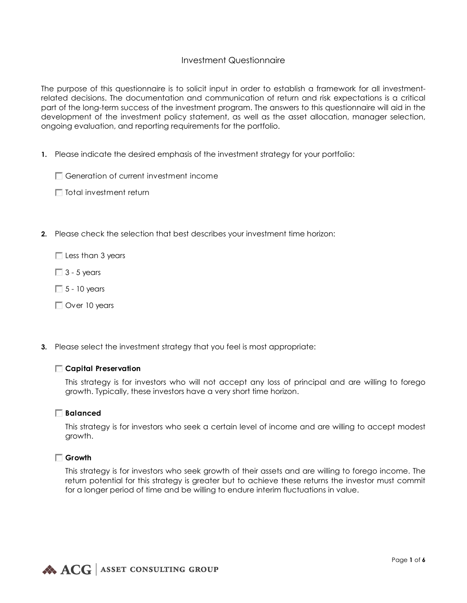## Investment Questionnaire

The purpose of this questionnaire is to solicit input in order to establish a framework for all investmentrelated decisions. The documentation and communication of return and risk expectations is a critical part of the long-term success of the investment program. The answers to this questionnaire will aid in the development of the investment policy statement, as well as the asset allocation, manager selection, ongoing evaluation, and reporting requirements for the portfolio.

- **1.** Please indicate the desired emphasis of the investment strategy for your portfolio:
	- Generation of current investment income
	- $\Box$  Total investment return
- **2.** Please check the selection that best describes your investment time horizon:

 $\Box$  Less than 3 years

- $\Box$  3 5 years
- $\Box$  5 10 years
- Over 10 years
- **3.** Please select the investment strategy that you feel is most appropriate:

## **Capital Preservation**

This strategy is for investors who will not accept any loss of principal and are willing to forego growth. Typically, these investors have a very short time horizon.

## **Balanced**

This strategy is for investors who seek a certain level of income and are willing to accept modest growth.

## **Growth**

This strategy is for investors who seek growth of their assets and are willing to forego income. The return potential for this strategy is greater but to achieve these returns the investor must commit for a longer period of time and be willing to endure interim fluctuations in value.

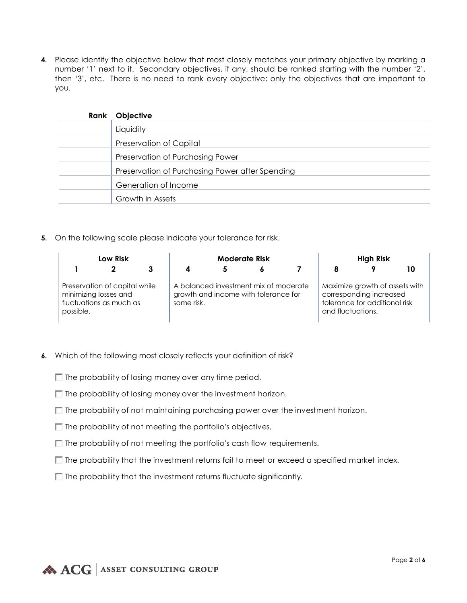**4.** Please identify the objective below that most closely matches your primary objective by marking a number '1' next to it. Secondary objectives, if any, should be ranked starting with the number '2', then '3', etc. There is no need to rank every objective; only the objectives that are important to you.

| Rank | <b>Objective</b>                                |
|------|-------------------------------------------------|
|      | Liquidity                                       |
|      | Preservation of Capital                         |
|      | Preservation of Purchasing Power                |
|      | Preservation of Purchasing Power after Spending |
|      | Generation of Income                            |
|      | Growth in Assets                                |

**5.** On the following scale please indicate your tolerance for risk.

|           | Low Risk                                                                          | <b>Moderate Risk</b> |                                                                               |  |  | <b>High Risk</b>  |                                                                                            |    |
|-----------|-----------------------------------------------------------------------------------|----------------------|-------------------------------------------------------------------------------|--|--|-------------------|--------------------------------------------------------------------------------------------|----|
|           |                                                                                   | 4                    |                                                                               |  |  |                   |                                                                                            | 10 |
| possible. | Preservation of capital while<br>minimizing losses and<br>fluctuations as much as | some risk.           | A balanced investment mix of moderate<br>growth and income with tolerance for |  |  | and fluctuations. | Maximize growth of assets with<br>corresponding increased<br>tolerance for additional risk |    |

- **6.** Which of the following most closely reflects your definition of risk?
	- $\Box$  The probability of losing money over any time period.
	- $\Box$  The probability of losing money over the investment horizon.
	- $\Box$  The probability of not maintaining purchasing power over the investment horizon.
	- $\Box$  The probability of not meeting the portfolio's objectives.
	- $\Box$  The probability of not meeting the portfolio's cash flow requirements.
	- $\Box$  The probability that the investment returns fail to meet or exceed a specified market index.
	- $\Box$  The probability that the investment returns fluctuate significantly.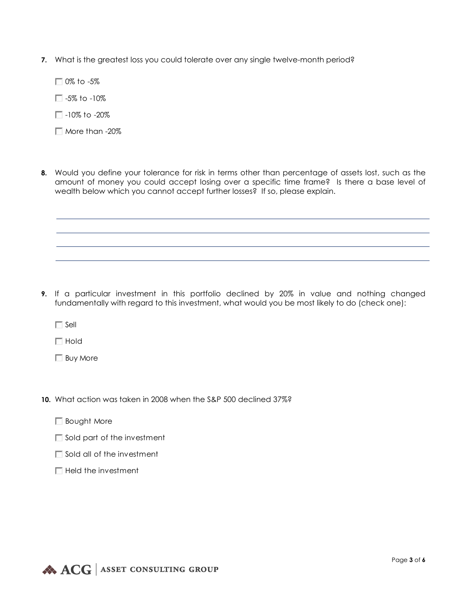- **7.** What is the greatest loss you could tolerate over any single twelve-month period?
	- 0% to -5%
	- $\Box$  -5% to -10%
	- $\Box$ -10% to -20%
	- More than -20%
- **8.** Would you define your tolerance for risk in terms other than percentage of assets lost, such as the amount of money you could accept losing over a specific time frame? Is there a base level of wealth below which you cannot accept further losses? If so, please explain.

**9.** If a particular investment in this portfolio declined by 20% in value and nothing changed fundamentally with regard to this investment, what would you be most likely to do (check one):

 $\Box$  Sell

 $\Box$  Hold

- Buy More
- **10.** What action was taken in 2008 when the S&P 500 declined 37%?
	- **Bought More**
	- $\Box$  Sold part of the investment
	- $\Box$  Sold all of the investment
	- $\Box$  Held the investment

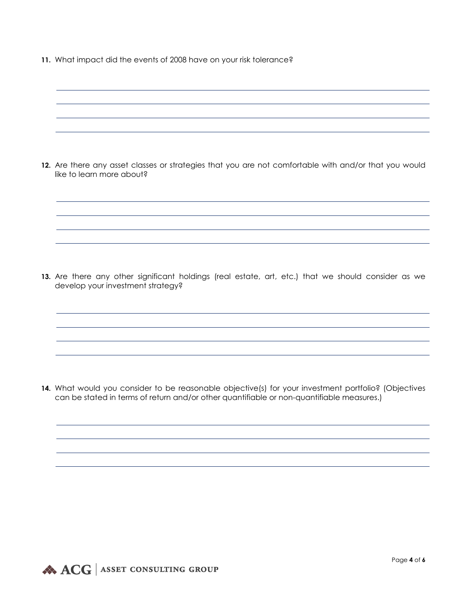**11.** What impact did the events of 2008 have on your risk tolerance?

| 12. Are there any asset classes or strategies that you are not comfortable with and/or that you would<br>like to learn more about? |
|------------------------------------------------------------------------------------------------------------------------------------|
|                                                                                                                                    |

**13.** Are there any other significant holdings (real estate, art, etc.) that we should consider as we develop your investment strategy?

**14.** What would you consider to be reasonable objective(s) for your investment portfolio? (Objectives can be stated in terms of return and/or other quantifiable or non-quantifiable measures.)

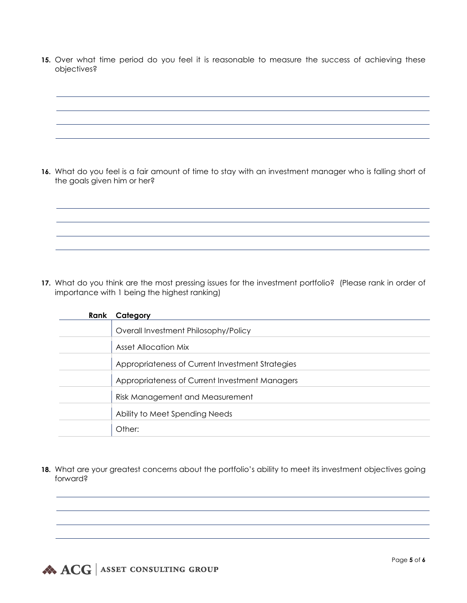**15.** Over what time period do you feel it is reasonable to measure the success of achieving these objectives?

**16.** What do you feel is a fair amount of time to stay with an investment manager who is falling short of the goals given him or her?

**17.** What do you think are the most pressing issues for the investment portfolio? (Please rank in order of importance with 1 being the highest ranking)

| Rank | Category                                         |
|------|--------------------------------------------------|
|      | Overall Investment Philosophy/Policy             |
|      | <b>Asset Allocation Mix</b>                      |
|      | Appropriateness of Current Investment Strategies |
|      | Appropriateness of Current Investment Managers   |
|      | Risk Management and Measurement                  |
|      | Ability to Meet Spending Needs                   |
|      | Other:                                           |

18. What are your greatest concerns about the portfolio's ability to meet its investment objectives going forward?